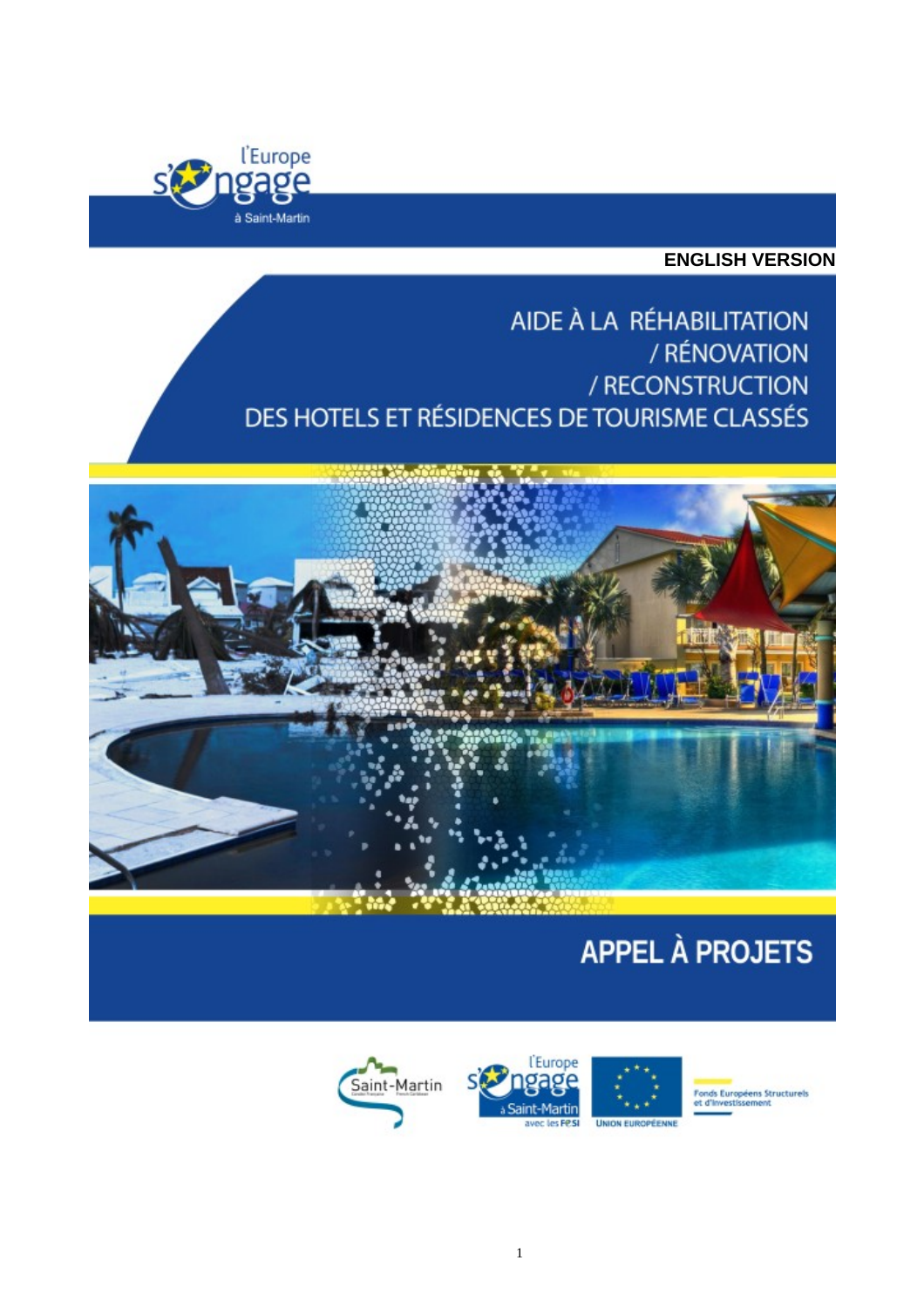

**ENGLISH VERSION**

AIDE À LA RÉHABILITATION / RÉNOVATION / RECONSTRUCTION DES HOTELS ET RÉSIDENCES DE TOURISME CLASSÉS



# **APPEL À PROJETS**







**Fonds Européens Structurels<br>et d'investissement**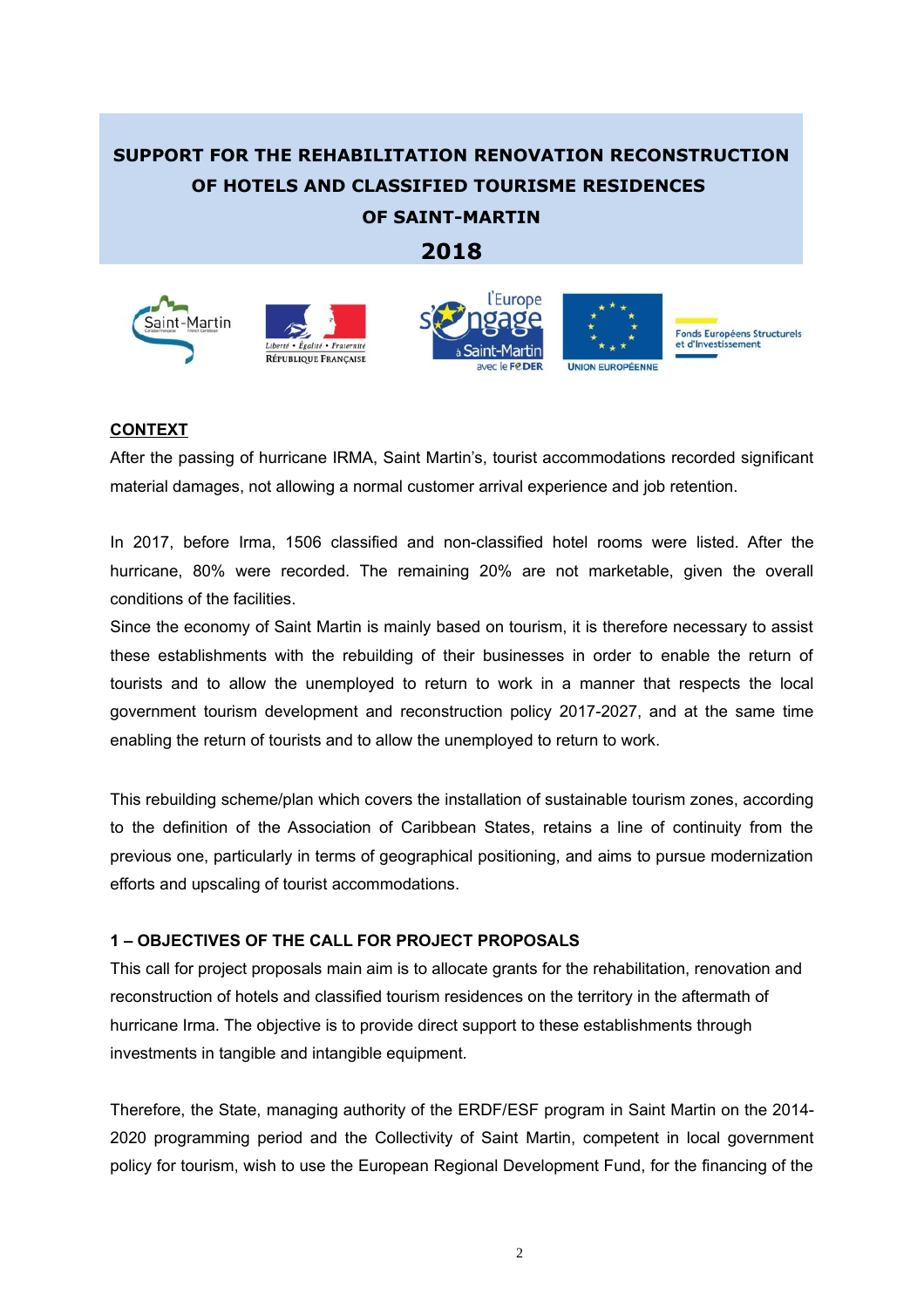# **SUPPORT FOR THE REHABILITATION RENOVATION RECONSTRUCTION OF HOTELS AND CLASSIFIED TOURISME RESIDENCES OF SAINT-MARTIN**

## **2018**



#### **CONTEXT**

After the passing of hurricane IRMA, Saint Martin's, tourist accommodations recorded significant material damages, not allowing a normal customer arrival experience and job retention.

In 2017, before Irma, 1506 classified and non-classified hotel rooms were listed. After the hurricane, 80% were recorded. The remaining 20% are not marketable, given the overall conditions of the facilities.

Since the economy of Saint Martin is mainly based on tourism, it is therefore necessary to assist these establishments with the rebuilding of their businesses in order to enable the return of tourists and to allow the unemployed to return to work in a manner that respects the local government tourism development and reconstruction policy 2017-2027, and at the same time enabling the return of tourists and to allow the unemployed to return to work.

This rebuilding scheme/plan which covers the installation of sustainable tourism zones, according to the definition of the Association of Caribbean States, retains a line of continuity from the previous one, particularly in terms of geographical positioning, and aims to pursue modernization efforts and upscaling of tourist accommodations.

#### **1 – OBJECTIVES OF THE CALL FOR PROJECT PROPOSALS**

This call for project proposals main aim is to allocate grants for the rehabilitation, renovation and reconstruction of hotels and classified tourism residences on the territory in the aftermath of hurricane Irma. The objective is to provide direct support to these establishments through investments in tangible and intangible equipment.

Therefore, the State, managing authority of the ERDF/ESF program in Saint Martin on the 2014- 2020 programming period and the Collectivity of Saint Martin, competent in local government policy for tourism, wish to use the European Regional Development Fund, for the financing of the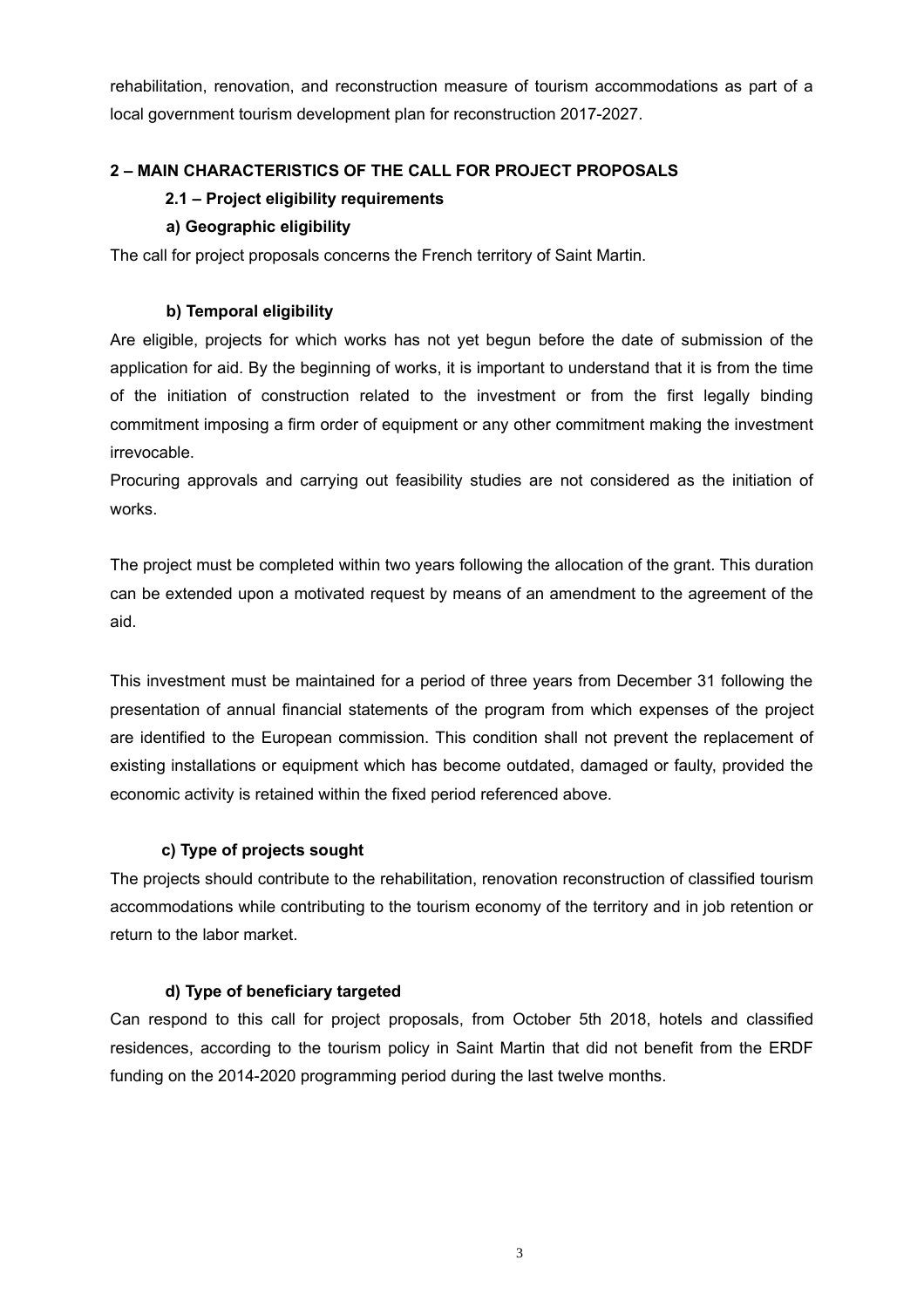rehabilitation, renovation, and reconstruction measure of tourism accommodations as part of a local government tourism development plan for reconstruction 2017-2027.

#### **2 – MAIN CHARACTERISTICS OF THE CALL FOR PROJECT PROPOSALS**

#### **2.1 – Project eligibility requirements**

#### **a) Geographic eligibility**

The call for project proposals concerns the French territory of Saint Martin.

#### **b) Temporal eligibility**

Are eligible, projects for which works has not yet begun before the date of submission of the application for aid. By the beginning of works, it is important to understand that it is from the time of the initiation of construction related to the investment or from the first legally binding commitment imposing a firm order of equipment or any other commitment making the investment irrevocable.

Procuring approvals and carrying out feasibility studies are not considered as the initiation of works.

The project must be completed within two years following the allocation of the grant. This duration can be extended upon a motivated request by means of an amendment to the agreement of the aid.

This investment must be maintained for a period of three years from December 31 following the presentation of annual financial statements of the program from which expenses of the project are identified to the European commission. This condition shall not prevent the replacement of existing installations or equipment which has become outdated, damaged or faulty, provided the economic activity is retained within the fixed period referenced above.

#### **c) Type of projects sought**

The projects should contribute to the rehabilitation, renovation reconstruction of classified tourism accommodations while contributing to the tourism economy of the territory and in job retention or return to the labor market.

#### **d) Type of beneficiary targeted**

Can respond to this call for project proposals, from October 5th 2018, hotels and classified residences, according to the tourism policy in Saint Martin that did not benefit from the ERDF funding on the 2014-2020 programming period during the last twelve months.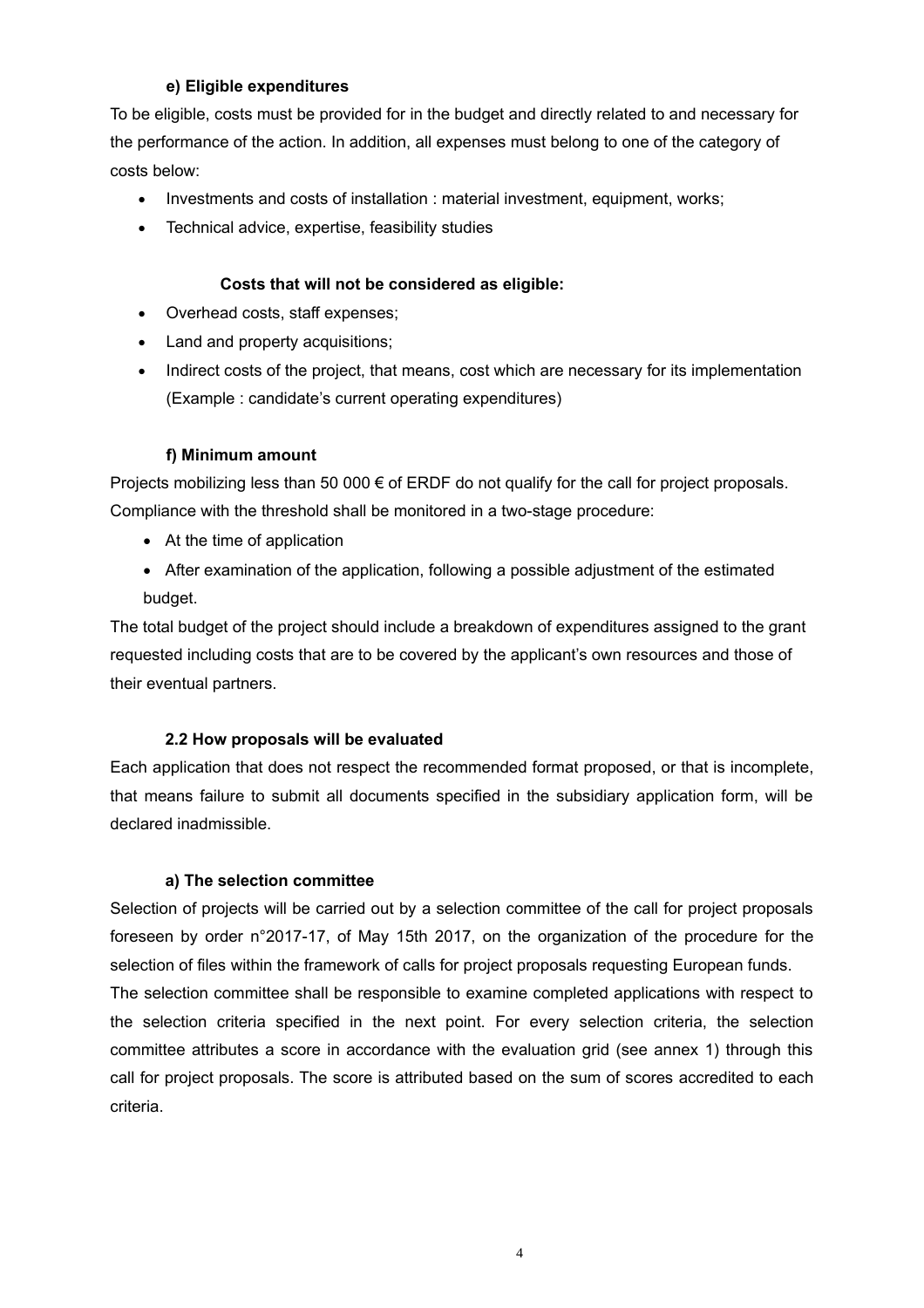#### **e) Eligible expenditures**

To be eligible, costs must be provided for in the budget and directly related to and necessary for the performance of the action. In addition, all expenses must belong to one of the category of costs below:

- Investments and costs of installation : material investment, equipment, works;
- Technical advice, expertise, feasibility studies

#### **Costs that will not be considered as eligible:**

- Overhead costs, staff expenses;
- Land and property acquisitions;
- Indirect costs of the project, that means, cost which are necessary for its implementation (Example : candidate's current operating expenditures)

#### **f) Minimum amount**

Projects mobilizing less than 50 000 € of ERDF do not qualify for the call for project proposals. Compliance with the threshold shall be monitored in a two-stage procedure:

- At the time of application
- After examination of the application, following a possible adjustment of the estimated budget.

The total budget of the project should include a breakdown of expenditures assigned to the grant requested including costs that are to be covered by the applicant's own resources and those of their eventual partners.

#### **2.2 How proposals will be evaluated**

Each application that does not respect the recommended format proposed, or that is incomplete, that means failure to submit all documents specified in the subsidiary application form, will be declared inadmissible.

#### **a) The selection committee**

Selection of projects will be carried out by a selection committee of the call for project proposals foreseen by order n°2017-17, of May 15th 2017, on the organization of the procedure for the selection of files within the framework of calls for project proposals requesting European funds. The selection committee shall be responsible to examine completed applications with respect to the selection criteria specified in the next point. For every selection criteria, the selection committee attributes a score in accordance with the evaluation grid (see annex 1) through this call for project proposals. The score is attributed based on the sum of scores accredited to each criteria.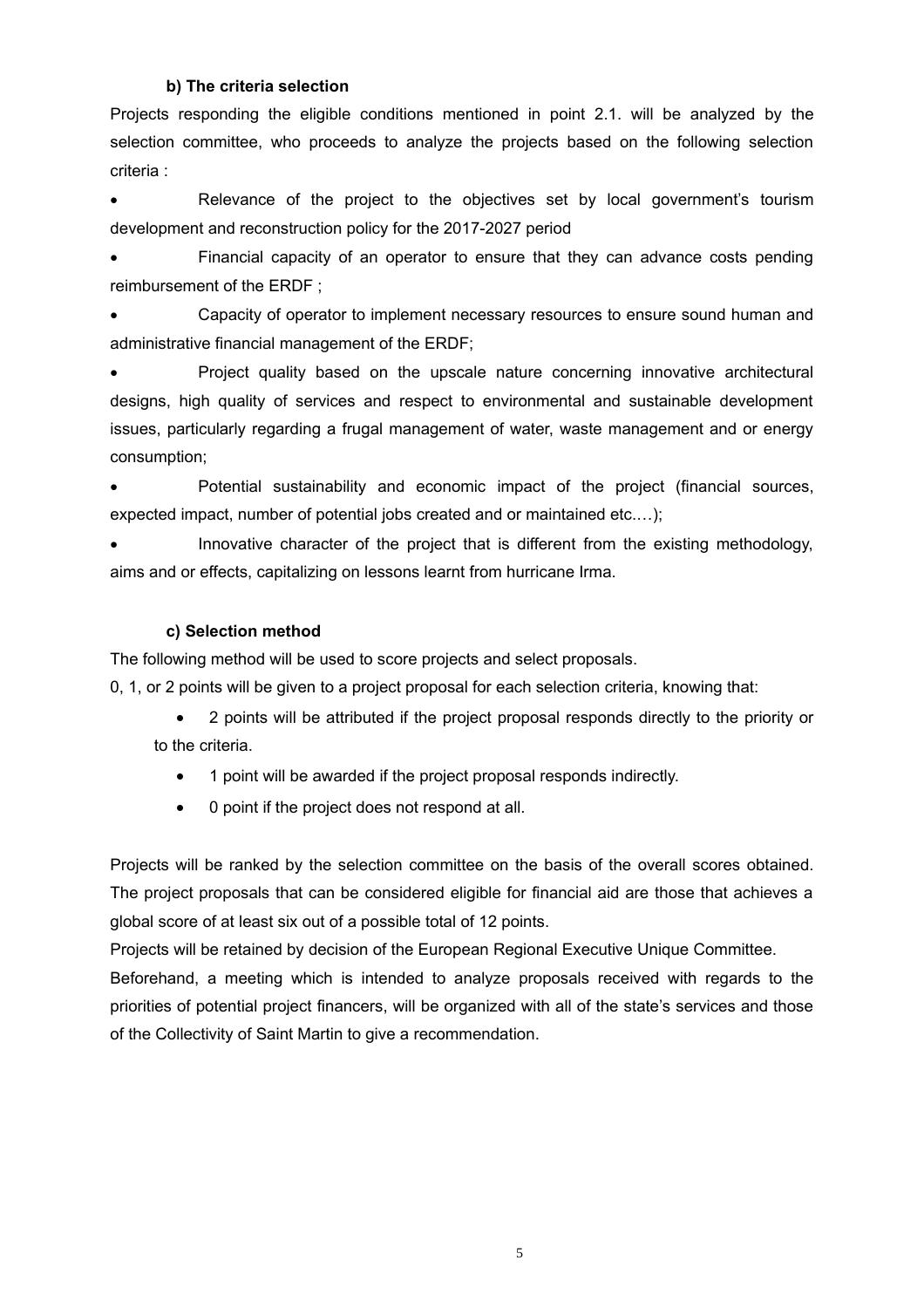#### **b) The criteria selection**

Projects responding the eligible conditions mentioned in point 2.1. will be analyzed by the selection committee, who proceeds to analyze the projects based on the following selection criteria :

 Relevance of the project to the objectives set by local government's tourism development and reconstruction policy for the 2017-2027 period

 Financial capacity of an operator to ensure that they can advance costs pending reimbursement of the ERDF ;

 Capacity of operator to implement necessary resources to ensure sound human and administrative financial management of the ERDF;

 Project quality based on the upscale nature concerning innovative architectural designs, high quality of services and respect to environmental and sustainable development issues, particularly regarding a frugal management of water, waste management and or energy consumption;

 Potential sustainability and economic impact of the project (financial sources, expected impact, number of potential jobs created and or maintained etc.…);

 Innovative character of the project that is different from the existing methodology, aims and or effects, capitalizing on lessons learnt from hurricane Irma.

#### **c) Selection method**

The following method will be used to score projects and select proposals.

0, 1, or 2 points will be given to a project proposal for each selection criteria, knowing that:

 2 points will be attributed if the project proposal responds directly to the priority or to the criteria.

- 1 point will be awarded if the project proposal responds indirectly.
- 0 point if the project does not respond at all.

Projects will be ranked by the selection committee on the basis of the overall scores obtained. The project proposals that can be considered eligible for financial aid are those that achieves a global score of at least six out of a possible total of 12 points.

Projects will be retained by decision of the European Regional Executive Unique Committee. Beforehand, a meeting which is intended to analyze proposals received with regards to the priorities of potential project financers, will be organized with all of the state's services and those of the Collectivity of Saint Martin to give a recommendation.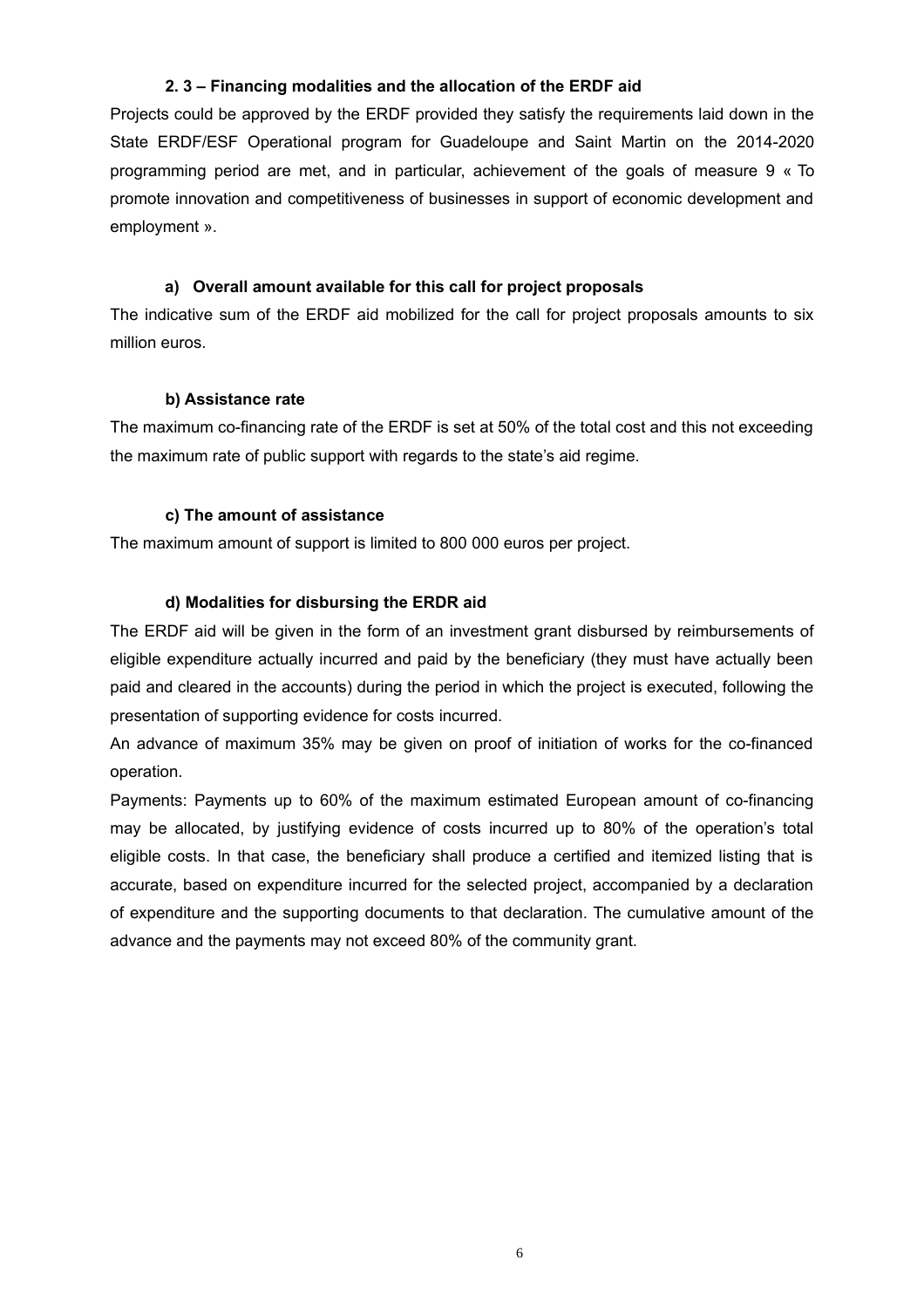#### **2. 3 – Financing modalities and the allocation of the ERDF aid**

Projects could be approved by the ERDF provided they satisfy the requirements laid down in the State ERDF/ESF Operational program for Guadeloupe and Saint Martin on the 2014-2020 programming period are met, and in particular, achievement of the goals of measure 9 « To promote innovation and competitiveness of businesses in support of economic development and employment ».

#### **a) Overall amount available for this call for project proposals**

The indicative sum of the ERDF aid mobilized for the call for project proposals amounts to six million euros.

#### **b) Assistance rate**

The maximum co-financing rate of the ERDF is set at 50% of the total cost and this not exceeding the maximum rate of public support with regards to the state's aid regime.

#### **c) The amount of assistance**

The maximum amount of support is limited to 800 000 euros per project.

#### **d) Modalities for disbursing the ERDR aid**

The ERDF aid will be given in the form of an investment grant disbursed by reimbursements of eligible expenditure actually incurred and paid by the beneficiary (they must have actually been paid and cleared in the accounts) during the period in which the project is executed, following the presentation of supporting evidence for costs incurred.

An advance of maximum 35% may be given on proof of initiation of works for the co-financed operation.

Payments: Payments up to 60% of the maximum estimated European amount of co-financing may be allocated, by justifying evidence of costs incurred up to 80% of the operation's total eligible costs. In that case, the beneficiary shall produce a certified and itemized listing that is accurate, based on expenditure incurred for the selected project, accompanied by a declaration of expenditure and the supporting documents to that declaration. The cumulative amount of the advance and the payments may not exceed 80% of the community grant.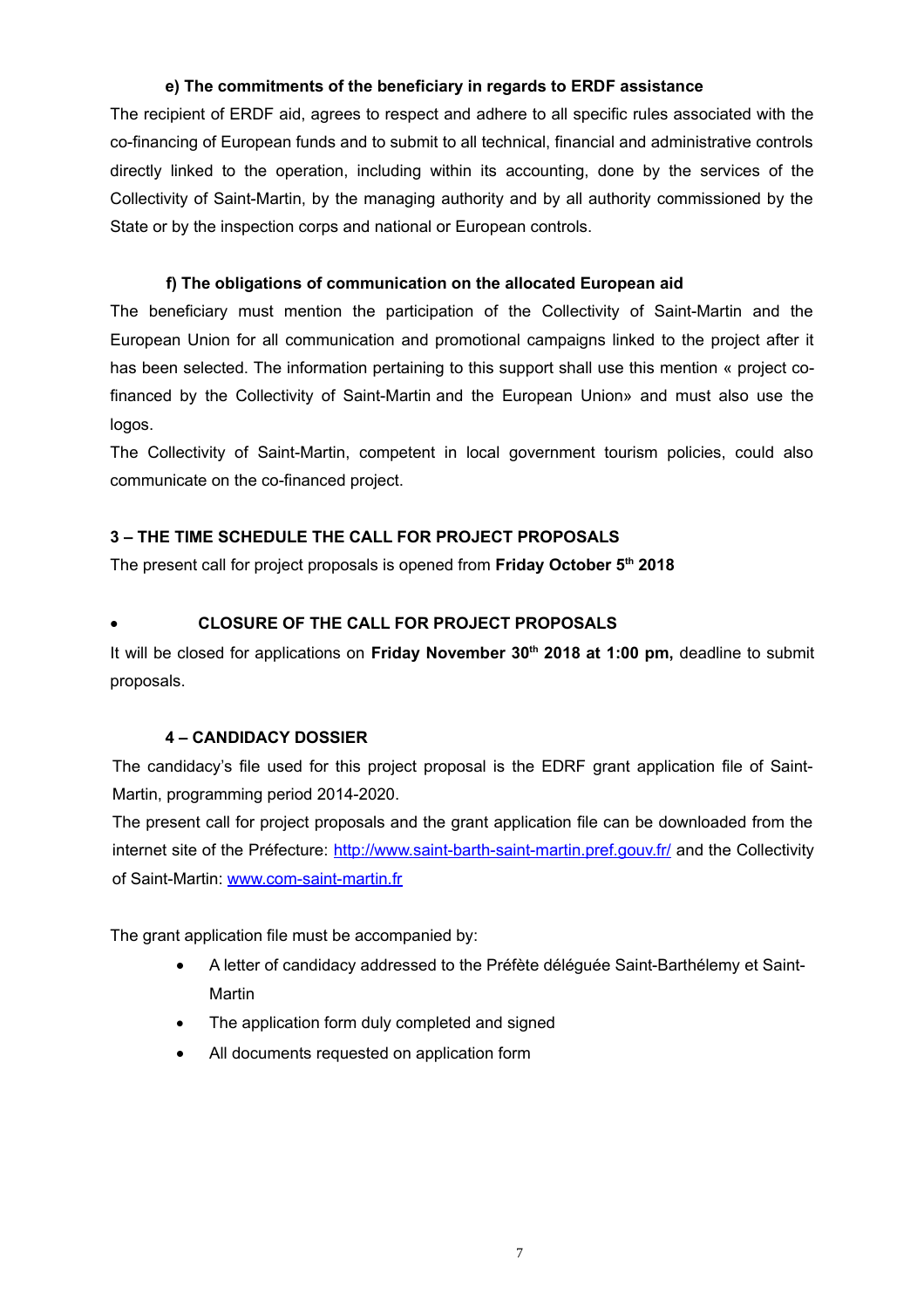#### **e) The commitments of the beneficiary in regards to ERDF assistance**

The recipient of ERDF aid, agrees to respect and adhere to all specific rules associated with the co-financing of European funds and to submit to all technical, financial and administrative controls directly linked to the operation, including within its accounting, done by the services of the Collectivity of Saint-Martin, by the managing authority and by all authority commissioned by the State or by the inspection corps and national or European controls.

#### **f) The obligations of communication on the allocated European aid**

The beneficiary must mention the participation of the Collectivity of Saint-Martin and the European Union for all communication and promotional campaigns linked to the project after it has been selected. The information pertaining to this support shall use this mention « project cofinanced by the Collectivity of Saint-Martin and the European Union» and must also use the logos.

The Collectivity of Saint-Martin, competent in local government tourism policies, could also communicate on the co-financed project.

#### **3 – THE TIME SCHEDULE THE CALL FOR PROJECT PROPOSALS**

The present call for project proposals is opened from **Friday October 5th 2018**

#### **CLOSURE OF THE CALL FOR PROJECT PROPOSALS**

It will be closed for applications on **Friday November 30th 2018 at 1:00 pm,** deadline to submit proposals.

#### **4 – CANDIDACY DOSSIER**

The candidacy's file used for this project proposal is the EDRF grant application file of Saint-Martin, programming period 2014-2020.

The present call for project proposals and the grant application file can be downloaded from the internet site of the Préfecture:<http://www.saint-barth-saint-martin.pref.gouv.fr/>and the Collectivity of Saint-Martin: [www.com-saint-martin.fr](http://www.com-saint-martin.fr/)

The grant application file must be accompanied by:

- A letter of candidacy addressed to the Préfète déléguée Saint-Barthélemy et Saint-Martin
- The application form duly completed and signed
- All documents requested on application form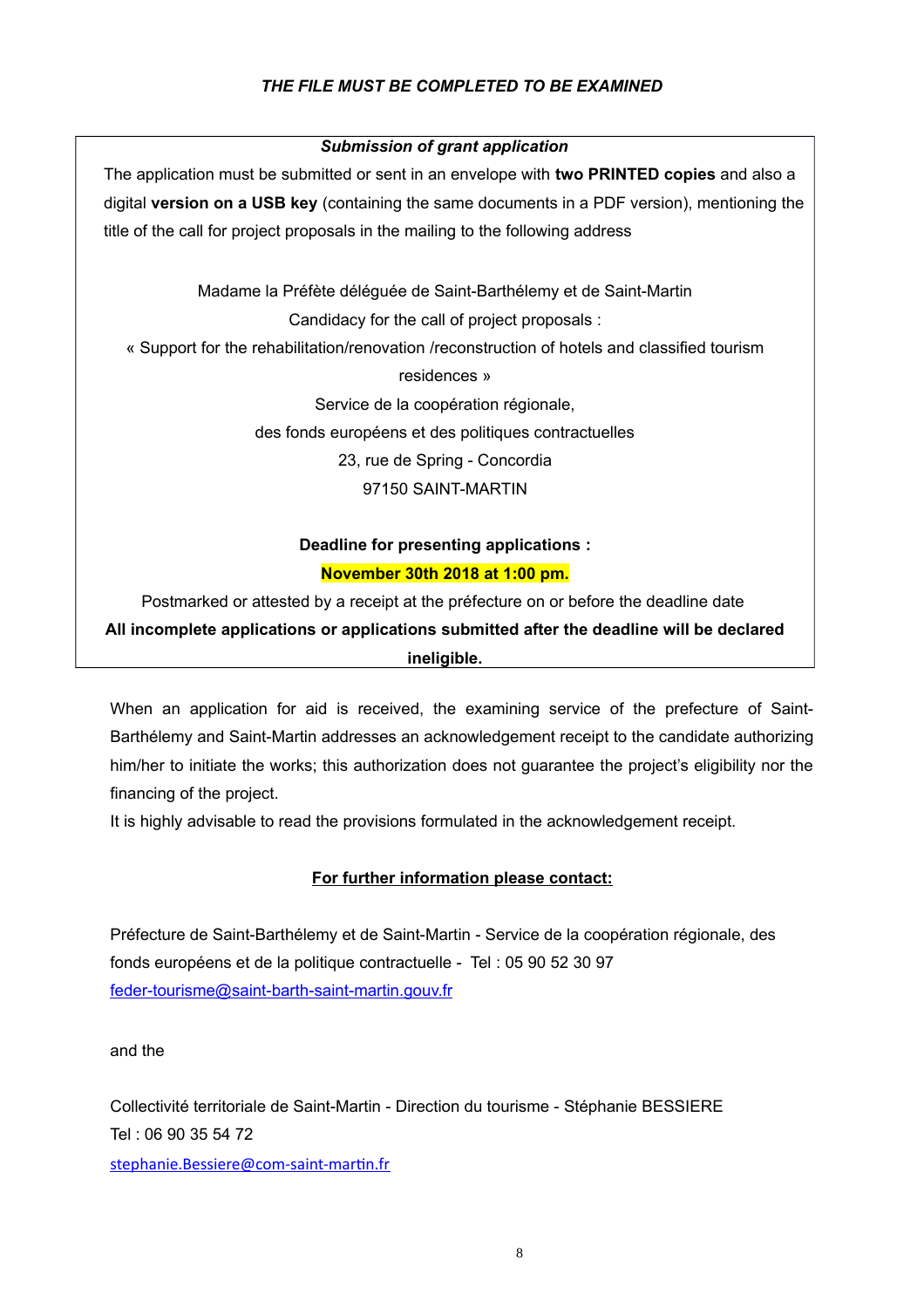#### *THE FILE MUST BE COMPLETED TO BE EXAMINED*

#### *Submission of grant application*

The application must be submitted or sent in an envelope with **two PRINTED copies** and also a digital **version on a USB key** (containing the same documents in a PDF version), mentioning the title of the call for project proposals in the mailing to the following address

Madame la Préfète déléguée de Saint-Barthélemy et de Saint-Martin

Candidacy for the call of project proposals :

« Support for the rehabilitation/renovation /reconstruction of hotels and classified tourism

residences »

Service de la coopération régionale,

des fonds européens et des politiques contractuelles

23, rue de Spring - Concordia

97150 SAINT-MARTIN

## **Deadline for presenting applications : November 30th 2018 at 1:00 pm.**

Postmarked or attested by a receipt at the préfecture on or before the deadline date **All incomplete applications or applications submitted after the deadline will be declared ineligible.**

When an application for aid is received, the examining service of the prefecture of Saint-Barthélemy and Saint-Martin addresses an acknowledgement receipt to the candidate authorizing him/her to initiate the works; this authorization does not guarantee the project's eligibility nor the financing of the project.

It is highly advisable to read the provisions formulated in the acknowledgement receipt.

#### **For further information please contact:**

Préfecture de Saint-Barthélemy et de Saint-Martin - Service de la coopération régionale, des fonds européens et de la politique contractuelle - Tel : 05 90 52 30 97 [feder-tourisme@saint-barth-saint-martin.gouv.fr](mailto:feder-tourisme@saint-barth-saint-martin.gouv.fr)

and the

Collectivité territoriale de Saint-Martin - Direction du tourisme - Stéphanie BESSIERE Tel : 06 90 35 54 72

[stephanie.Bessiere@com-saint-martin.fr](mailto:stephanie.Bessiere@com-saint-martin.fr)